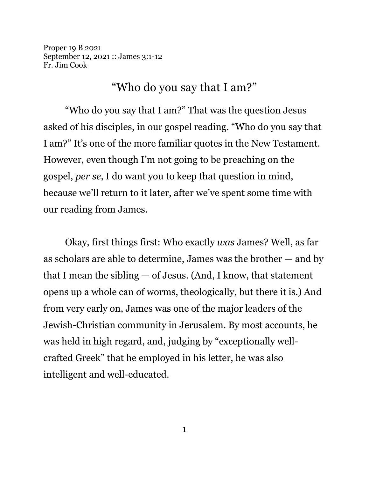Proper 19 B 2021 September 12, 2021 :: James 3:1-12 Fr. Jim Cook

## "Who do you say that I am?"

"Who do you say that I am?" That was the question Jesus asked of his disciples, in our gospel reading. "Who do you say that I am?" It's one of the more familiar quotes in the New Testament. However, even though I'm not going to be preaching on the gospel, *per se*, I do want you to keep that question in mind, because we'll return to it later, after we've spent some time with our reading from James.

Okay, first things first: Who exactly *was* James? Well, as far as scholars are able to determine, James was the brother — and by that I mean the sibling — of Jesus. (And, I know, that statement opens up a whole can of worms, theologically, but there it is.) And from very early on, James was one of the major leaders of the Jewish-Christian community in Jerusalem. By most accounts, he was held in high regard, and, judging by "exceptionally wellcrafted Greek" that he employed in his letter, he was also intelligent and well-educated.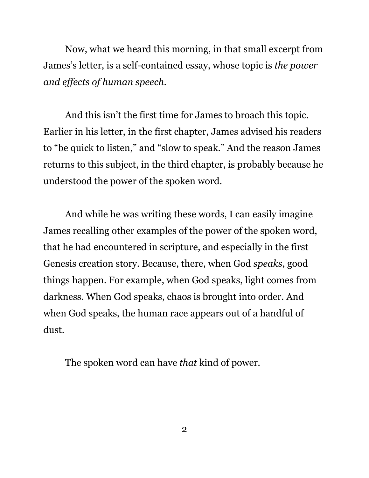Now, what we heard this morning, in that small excerpt from James's letter, is a self-contained essay, whose topic is *the power and effects of human speech*.

And this isn't the first time for James to broach this topic. Earlier in his letter, in the first chapter, James advised his readers to "be quick to listen," and "slow to speak." And the reason James returns to this subject, in the third chapter, is probably because he understood the power of the spoken word.

And while he was writing these words, I can easily imagine James recalling other examples of the power of the spoken word, that he had encountered in scripture, and especially in the first Genesis creation story. Because, there, when God *speaks*, good things happen. For example, when God speaks, light comes from darkness. When God speaks, chaos is brought into order. And when God speaks, the human race appears out of a handful of dust.

The spoken word can have *that* kind of power.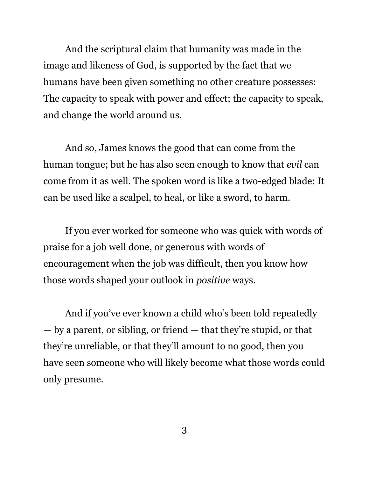And the scriptural claim that humanity was made in the image and likeness of God, is supported by the fact that we humans have been given something no other creature possesses: The capacity to speak with power and effect; the capacity to speak, and change the world around us.

And so, James knows the good that can come from the human tongue; but he has also seen enough to know that *evil* can come from it as well. The spoken word is like a two-edged blade: It can be used like a scalpel, to heal, or like a sword, to harm.

If you ever worked for someone who was quick with words of praise for a job well done, or generous with words of encouragement when the job was difficult, then you know how those words shaped your outlook in *positive* ways.

And if you've ever known a child who's been told repeatedly — by a parent, or sibling, or friend — that they're stupid, or that they're unreliable, or that they'll amount to no good, then you have seen someone who will likely become what those words could only presume.

3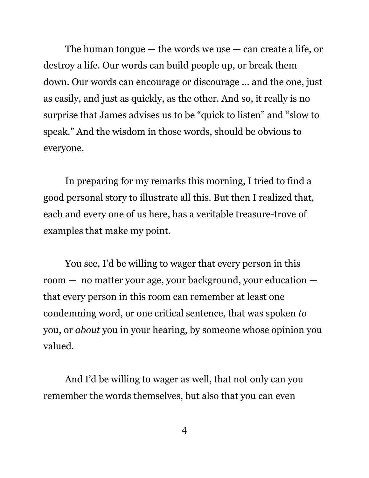The human tongue  $-$  the words we use  $-$  can create a life, or destroy a life. Our words can build people up, or break them down. Our words can encourage or discourage ... and the one, just as easily, and just as quickly, as the other. And so, it really is no surprise that James advises us to be "quick to listen" and "slow to speak." And the wisdom in those words, should be obvious to everyone.

In preparing for my remarks this morning, I tried to find a good personal story to illustrate all this. But then I realized that, each and every one of us here, has a veritable treasure-trove of examples that make my point.

You see, I'd be willing to wager that every person in this room — no matter your age, your background, your education that every person in this room can remember at least one condemning word, or one critical sentence, that was spoken *to* you, or *about* you in your hearing, by someone whose opinion you valued.

And I'd be willing to wager as well, that not only can you remember the words themselves, but also that you can even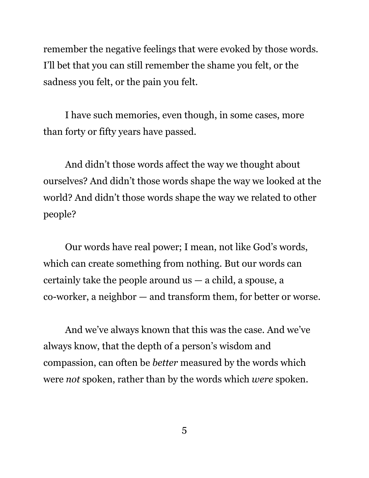remember the negative feelings that were evoked by those words. I'll bet that you can still remember the shame you felt, or the sadness you felt, or the pain you felt.

I have such memories, even though, in some cases, more than forty or fifty years have passed.

And didn't those words affect the way we thought about ourselves? And didn't those words shape the way we looked at the world? And didn't those words shape the way we related to other people?

Our words have real power; I mean, not like God's words, which can create something from nothing. But our words can certainly take the people around  $us - a$  child, a spouse, a co-worker, a neighbor — and transform them, for better or worse.

And we've always known that this was the case. And we've always know, that the depth of a person's wisdom and compassion, can often be *better* measured by the words which were *not* spoken, rather than by the words which *were* spoken.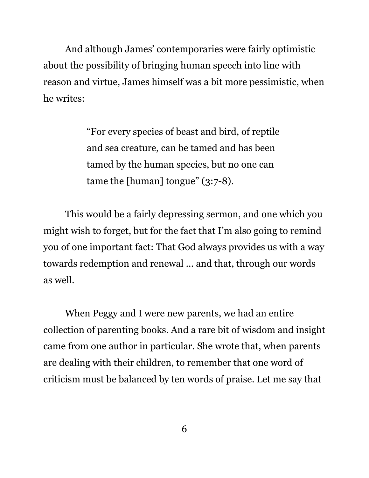And although James' contemporaries were fairly optimistic about the possibility of bringing human speech into line with reason and virtue, James himself was a bit more pessimistic, when he writes:

> "For every species of beast and bird, of reptile and sea creature, can be tamed and has been tamed by the human species, but no one can tame the [human] tongue" (3:7-8).

This would be a fairly depressing sermon, and one which you might wish to forget, but for the fact that I'm also going to remind you of one important fact: That God always provides us with a way towards redemption and renewal ... and that, through our words as well.

When Peggy and I were new parents, we had an entire collection of parenting books. And a rare bit of wisdom and insight came from one author in particular. She wrote that, when parents are dealing with their children, to remember that one word of criticism must be balanced by ten words of praise. Let me say that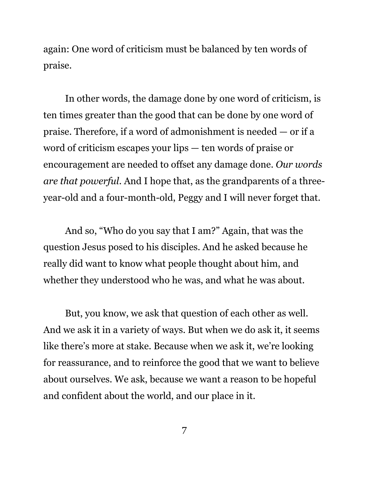again: One word of criticism must be balanced by ten words of praise.

In other words, the damage done by one word of criticism, is ten times greater than the good that can be done by one word of praise. Therefore, if a word of admonishment is needed — or if a word of criticism escapes your lips — ten words of praise or encouragement are needed to offset any damage done. *Our words are that powerful*. And I hope that, as the grandparents of a threeyear-old and a four-month-old, Peggy and I will never forget that.

And so, "Who do you say that I am?" Again, that was the question Jesus posed to his disciples. And he asked because he really did want to know what people thought about him, and whether they understood who he was, and what he was about.

But, you know, we ask that question of each other as well. And we ask it in a variety of ways. But when we do ask it, it seems like there's more at stake. Because when we ask it, we're looking for reassurance, and to reinforce the good that we want to believe about ourselves. We ask, because we want a reason to be hopeful and confident about the world, and our place in it.

7